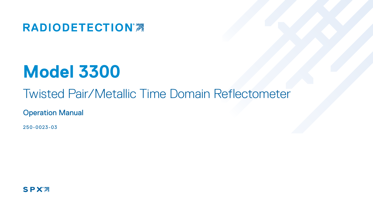**RADIODETECTION®** 

# **Model 3300**

## Twisted Pair/Metallic Time Domain Reflectometer

Operation Manual

250-0023-03

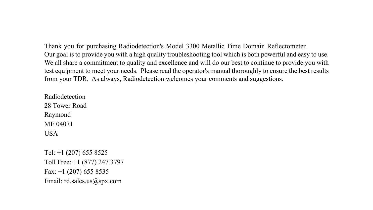Thank you for purchasing Radiodetection's Model 3300 Metallic Time Domain Reflectometer. Our goal is to provide you with a high quality troubleshooting tool which is both powerful and easy to use. We all share a commitment to quality and excellence and will do our best to continue to provide you with test equipment to meet your needs. Please read the operator's manual thoroughly to ensure the best results from your TDR. As always, Radiodetection welcomes your comments and suggestions.

Radiodetection 28 Tower Road Raymond ME 04071 **USA** 

Tel: +1 (207) 655 8525 Toll Free: +1 (877) 247 3797 Fax:  $+1$  (207) 655 8535 Email: rd.sales.us@spx.com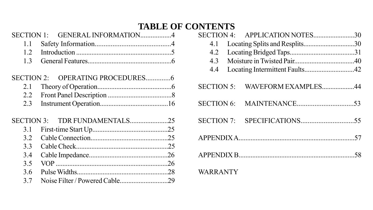## **TABLE OF CONTENTS**

| <b>SECTION 1:</b> | GENERAL INFORMATION4 |  |
|-------------------|----------------------|--|
| 11                |                      |  |
| 12                |                      |  |
| 13                |                      |  |
| $SECTION 2+$      |                      |  |
| 2.1               |                      |  |
| 2.2               |                      |  |
| 2.3               |                      |  |
| <b>SECTION 3.</b> | TDR FUNDAMENTALS25   |  |
| 3.1               |                      |  |
| 3.2               |                      |  |
| 33                |                      |  |
| 3.4               |                      |  |
| 3.5               |                      |  |
| 3.6               |                      |  |
| 37                |                      |  |

|                   | SECTION 4: APPLICATION NOTES30 |  |
|-------------------|--------------------------------|--|
| 4.1               | Locating Splits and Resplits30 |  |
| 4.2               |                                |  |
| 4.3               |                                |  |
| 4.4               |                                |  |
| <b>SECTION 5:</b> | WAVEFORM EXAMPLES44            |  |
| <b>SECTION 6:</b> |                                |  |
|                   |                                |  |
|                   |                                |  |
|                   |                                |  |
| <b>WARRANTY</b>   |                                |  |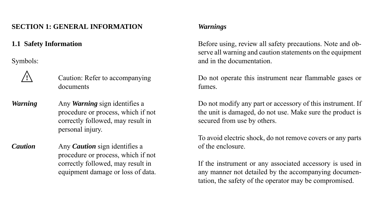## **SECTION 1: GENERAL INFORMATION**

## **1.1 Safety Information**

Symbols:



 **!** Caution: Refer to accompanying documents

*Warning* Any *Warning* sign identifies a procedure or process, which if not correctly followed, may result in personal injury.

*Caution* Any *Caution* sign identifies a procedure or process, which if not correctly followed, may result in equipment damage or loss of data.

## *Warnings*

Before using, review all safety precautions. Note and observe all warning and caution statements on the equipment and in the documentation.

Do not operate this instrument near flammable gases or fumes.

Do not modify any part or accessory of this instrument. If the unit is damaged, do not use. Make sure the product is secured from use by others.

To avoid electric shock, do not remove covers or any parts of the enclosure.

If the instrument or any associated accessory is used in any manner not detailed by the accompanying documentation, the safety of the operator may be compromised.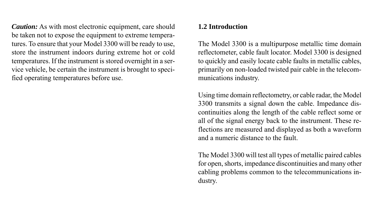*Caution:* As with most electronic equipment, care should be taken not to expose the equipment to extreme temperatures. To ensure that your Model 3300 will be ready to use, store the instrument indoors during extreme hot or cold temperatures. If the instrument is stored overnight in a service vehicle, be certain the instrument is brought to specified operating temperatures before use.

## **1.2 Introduction**

The Model 3300 is a multipurpose metallic time domain reflectometer, cable fault locator. Model 3300 is designed to quickly and easily locate cable faults in metallic cables, primarily on non-loaded twisted pair cable in the telecommunications industry.

Using time domain reflectometry, or cable radar, the Model 3300 transmits a signal down the cable. Impedance discontinuities along the length of the cable reflect some or all of the signal energy back to the instrument. These reflections are measured and displayed as both a waveform and a numeric distance to the fault.

The Model 3300 will test all types of metallic paired cables for open, shorts, impedance discontinuities and many other cabling problems common to the telecommunications industry.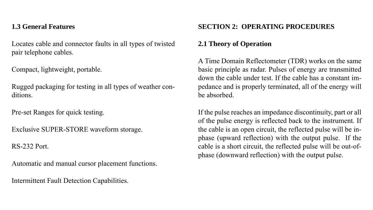## **1.3 General Features**

Locates cable and connector faults in all types of twisted pair telephone cables.

Compact, lightweight, portable.

Rugged packaging for testing in all types of weather conditions.

Pre-set Ranges for quick testing.

Exclusive SUPER-STORE waveform storage.

RS-232 Port.

Automatic and manual cursor placement functions.

Intermittent Fault Detection Capabilities.

## **SECTION 2: OPERATING PROCEDURES**

## **2.1 Theory of Operation**

A Time Domain Reflectometer (TDR) works on the same basic principle as radar. Pulses of energy are transmitted down the cable under test. If the cable has a constant impedance and is properly terminated, all of the energy will be absorbed.

If the pulse reaches an impedance discontinuity, part or all of the pulse energy is reflected back to the instrument. If the cable is an open circuit, the reflected pulse will be inphase (upward reflection) with the output pulse. If the cable is a short circuit, the reflected pulse will be out-ofphase (downward reflection) with the output pulse.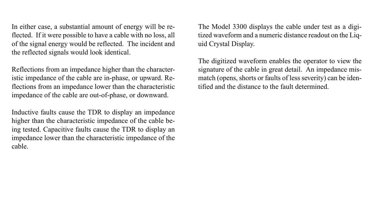In either case, a substantial amount of energy will be reflected. If it were possible to have a cable with no loss, all of the signal energy would be reflected. The incident and the reflected signals would look identical.

Reflections from an impedance higher than the characteristic impedance of the cable are in-phase, or upward. Reflections from an impedance lower than the characteristic impedance of the cable are out-of-phase, or downward.

Inductive faults cause the TDR to display an impedance higher than the characteristic impedance of the cable being tested. Capacitive faults cause the TDR to display an impedance lower than the characteristic impedance of the cable.

The Model 3300 displays the cable under test as a digitized waveform and a numeric distance readout on the Liquid Crystal Display.

The digitized waveform enables the operator to view the signature of the cable in great detail. An impedance mismatch (opens, shorts or faults of less severity) can be identified and the distance to the fault determined.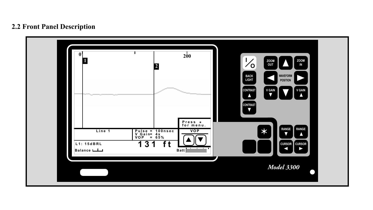## **2.2 Front Panel Description**

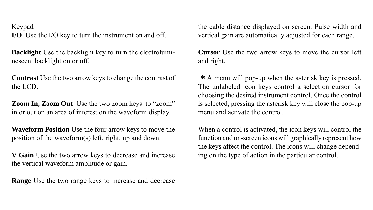Keypad

**I/O** Use the I/O key to turn the instrument on and off.

**Backlight** Use the backlight key to turn the electroluminescent backlight on or off.

**Contrast** Use the two arrow keys to change the contrast of the LCD.

**Zoom In, Zoom Out** Use the two zoom keys to "zoom" in or out on an area of interest on the waveform display.

**Waveform Position** Use the four arrow keys to move the position of the waveform(s) left, right, up and down.

**V Gain** Use the two arrow keys to decrease and increase the vertical waveform amplitude or gain.

**Range** Use the two range keys to increase and decrease

the cable distance displayed on screen. Pulse width and vertical gain are automatically adjusted for each range.

**Cursor** Use the two arrow keys to move the cursor left and right.

**\*** A menu will pop-up when the asterisk key is pressed. The unlabeled icon keys control a selection cursor for choosing the desired instrument control. Once the control is selected, pressing the asterisk key will close the pop-up menu and activate the control.

When a control is activated, the icon keys will control the function and on-screen icons will graphically represent how the keys affect the control. The icons will change depending on the type of action in the particular control.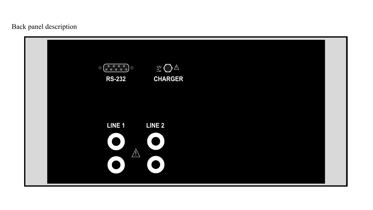Back panel description

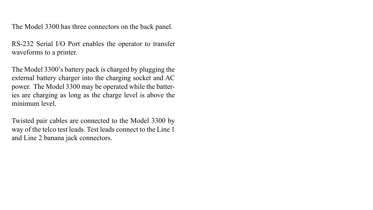The Model 3300 has three connectors on the back panel.

RS-232 Serial I/O Port enables the operator to transfer waveforms to a printer.

The Model 3300's battery pack is charged by plugging the external battery charger into the charging socket and AC power. The Model 3300 may be operated while the batteries are charging as long as the charge level is above the minimum level.

Twisted pair cables are connected to the Model 3300 by way of the telco test leads. Test leads connect to the Line 1 and Line 2 banana jack connectors.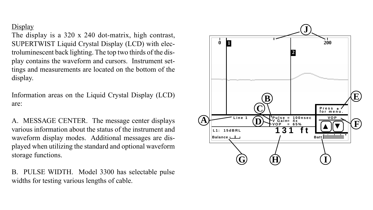## **Display**

The display is a 320 x 240 dot-matrix, high contrast, SUPERTWIST Liquid Crystal Display (LCD) with electroluminescent back lighting. The top two thirds of the display contains the waveform and cursors. Instrument settings and measurements are located on the bottom of the display.

Information areas on the Liquid Crystal Display (LCD) are:

A. MESSAGE CENTER. The message center displays various information about the status of the instrument and waveform display modes. Additional messages are displayed when utilizing the standard and optional waveform storage functions.

B. PULSE WIDTH. Model 3300 has selectable pulse widths for testing various lengths of cable.

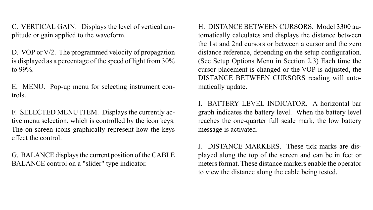C. VERTICAL GAIN. Displays the level of vertical amplitude or gain applied to the waveform.

D. VOP or V/2. The programmed velocity of propagation is displayed as a percentage of the speed of light from 30% to 99%.

E. MENU. Pop-up menu for selecting instrument controls.

F. SELECTED MENU ITEM. Displays the currently active menu selection, which is controlled by the icon keys. The on-screen icons graphically represent how the keys effect the control.

G. BALANCE displays the current position of the CABLE BALANCE control on a "slider" type indicator.

H. DISTANCE BETWEEN CURSORS. Model 3300 automatically calculates and displays the distance between the 1st and 2nd cursors or between a cursor and the zero distance reference, depending on the setup configuration. (See Setup Options Menu in Section 2.3) Each time the cursor placement is changed or the VOP is adjusted, the DISTANCE BETWEEN CURSORS reading will automatically update.

I. BATTERY LEVEL INDICATOR. A horizontal bar graph indicates the battery level. When the battery level reaches the one-quarter full scale mark, the low battery message is activated.

DISTANCE MARKERS. These tick marks are displayed along the top of the screen and can be in feet or meters format. These distance markers enable the operator to view the distance along the cable being tested.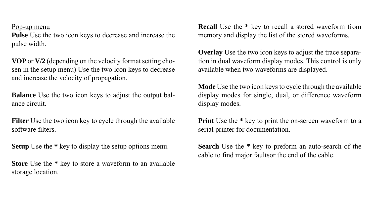#### Pop-up menu

**Pulse** Use the two icon keys to decrease and increase the pulse width.

**VOP** or **V/2** (depending on the velocity format setting chosen in the setup menu) Use the two icon keys to decrease and increase the velocity of propagation.

**Balance** Use the two icon keys to adjust the output balance circuit.

**Filter** Use the two icon key to cycle through the available software filters.

**Setup** Use the **\*** key to display the setup options menu.

**Store** Use the **\*** key to store a waveform to an available storage location.

**Recall** Use the **\*** key to recall a stored waveform from memory and display the list of the stored waveforms.

**Overlay** Use the two icon keys to adjust the trace separation in dual waveform display modes. This control is only available when two waveforms are displayed.

**Mode** Use the two icon keys to cycle through the available display modes for single, dual, or difference waveform display modes.

**Print** Use the \* key to print the on-screen waveform to a serial printer for documentation.

**Search** Use the **\*** key to preform an auto-search of the cable to find major faultsor the end of the cable.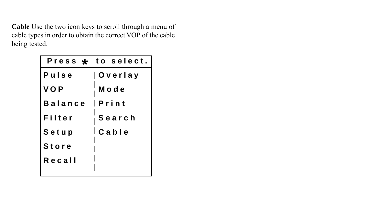**Cable** Use the two icon keys to scroll through a menu of cable types in order to obtain the correct VOP of the cable being tested.

|                 | Press $\star$ to select. |  |
|-----------------|--------------------------|--|
| Pulse           | O v e r I a y            |  |
| <b>VOP</b>      | Mode                     |  |
| Balance   Print |                          |  |
| Filter          | Search                   |  |
| Setup           | l Cable                  |  |
| <b>Store</b>    |                          |  |
| Recall          |                          |  |
|                 |                          |  |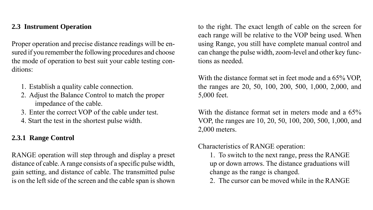## **2.3 Instrument Operation**

Proper operation and precise distance readings will be ensured if you remember the following procedures and choose the mode of operation to best suit your cable testing conditions:

- 1. Establish a quality cable connection.
- 2. Adjust the Balance Control to match the proper impedance of the cable.
- 3. Enter the correct VOP of the cable under test.
- 4. Start the test in the shortest pulse width.

## **2.3.1 Range Control**

RANGE operation will step through and display a preset distance of cable. A range consists of a specific pulse width, gain setting, and distance of cable. The transmitted pulse is on the left side of the screen and the cable span is shown

to the right. The exact length of cable on the screen for each range will be relative to the VOP being used. When using Range, you still have complete manual control and can change the pulse width, zoom-level and other key functions as needed.

With the distance format set in feet mode and a 65% VOP, the ranges are 20, 50, 100, 200, 500, 1,000, 2,000, and 5,000 feet.

With the distance format set in meters mode and a 65% VOP, the ranges are 10, 20, 50, 100, 200, 500, 1,000, and 2,000 meters.

Characteristics of RANGE operation:

1. To switch to the next range, press the RANGE up or down arrows. The distance graduations will change as the range is changed.

2. The cursor can be moved while in the RANGE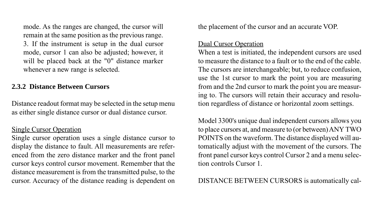mode. As the ranges are changed, the cursor will remain at the same position as the previous range. 3. If the instrument is setup in the dual cursor mode, cursor 1 can also be adjusted; however, it will be placed back at the "0" distance marker whenever a new range is selected.

## **2.3.2 Distance Between Cursors**

Distance readout format may be selected in the setup menu as either single distance cursor or dual distance cursor.

## Single Cursor Operation

Single cursor operation uses a single distance cursor to display the distance to fault. All measurements are referenced from the zero distance marker and the front panel cursor keys control cursor movement. Remember that the distance measurement is from the transmitted pulse, to the cursor. Accuracy of the distance reading is dependent on the placement of the cursor and an accurate VOP.

## Dual Cursor Operation

When a test is initiated, the independent cursors are used to measure the distance to a fault or to the end of the cable. The cursors are interchangeable; but, to reduce confusion, use the 1st cursor to mark the point you are measuring from and the 2nd cursor to mark the point you are measuring to. The cursors will retain their accuracy and resolution regardless of distance or horizontal zoom settings.

Model 3300's unique dual independent cursors allows you to place cursors at, and measure to (or between) ANY TWO POINTS on the waveform. The distance displayed will automatically adjust with the movement of the cursors. The front panel cursor keys control Cursor 2 and a menu selection controls Cursor 1.

## DISTANCE BETWEEN CURSORS is automatically cal-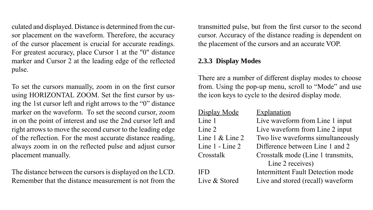culated and displayed. Distance is determined from the cursor placement on the waveform. Therefore, the accuracy of the cursor placement is crucial for accurate readings. For greatest accuracy, place Cursor 1 at the "0" distance marker and Cursor 2 at the leading edge of the reflected pulse.

To set the cursors manually, zoom in on the first cursor using HORIZONTAL ZOOM. Set the first cursor by using the 1st cursor left and right arrows to the "0" distance marker on the waveform. To set the second cursor, zoom in on the point of interest and use the 2nd cursor left and right arrows to move the second cursor to the leading edge of the reflection. For the most accurate distance reading, always zoom in on the reflected pulse and adjust cursor placement manually.

The distance between the cursors is displayed on the LCD. Remember that the distance measurement is not from the transmitted pulse, but from the first cursor to the second cursor. Accuracy of the distance reading is dependent on the placement of the cursors and an accurate VOP.

## **2.3.3 Display Modes**

There are a number of different display modes to choose from. Using the pop-up menu, scroll to "Mode" and use the icon keys to cycle to the desired display mode.

| Display Mode         | Explanation                              |
|----------------------|------------------------------------------|
| Line 1               | Live waveform from Line 1 input          |
| Line 2               | Live waveform from Line 2 input          |
| Line $1 \&$ Line $2$ | Two live waveforms simultaneously        |
| Line 1 - Line 2      | Difference between Line 1 and 2          |
| Crosstalk            | Crosstalk mode (Line 1 transmits,        |
|                      | Line 2 receives)                         |
| IFD                  | <b>Intermittent Fault Detection mode</b> |
| Live & Stored        | Live and stored (recall) waveform        |
|                      |                                          |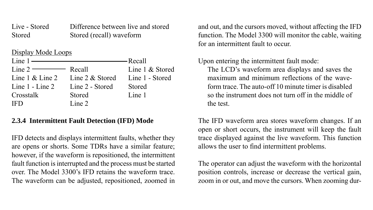Live - Stored Difference between live and stored Stored Stored (recall) waveform

## Display Mode Loops

|                                               | Line 1 & Stored                 |
|-----------------------------------------------|---------------------------------|
| Line $1 \&$ Line $2 \quad$ Line $2 \&$ Stored | Line 1 - Stored                 |
| Line 2 - Stored                               | Stored                          |
| Stored                                        | Line 1                          |
| Line 2                                        |                                 |
|                                               | $Line 2 \longrightarrow Recall$ |

## **2.3.4 Intermittent Fault Detection (IFD) Mode**

IFD detects and displays intermittent faults, whether they are opens or shorts. Some TDRs have a similar feature; however, if the waveform is repositioned, the intermittent fault function is interrupted and the process must be started over. The Model 3300's IFD retains the waveform trace. The waveform can be adjusted, repositioned, zoomed in

and out, and the cursors moved, without affecting the IFD function. The Model 3300 will monitor the cable, waiting for an intermittent fault to occur.

Upon entering the intermittent fault mode:

The LCD's waveform area displays and saves the maximum and minimum reflections of the waveform trace. The auto-off 10 minute timer is disabled so the instrument does not turn off in the middle of the test.

The IFD waveform area stores waveform changes. If an open or short occurs, the instrument will keep the fault trace displayed against the live waveform. This function allows the user to find intermittent problems.

The operator can adjust the waveform with the horizontal position controls, increase or decrease the vertical gain, zoom in or out, and move the cursors. When zooming dur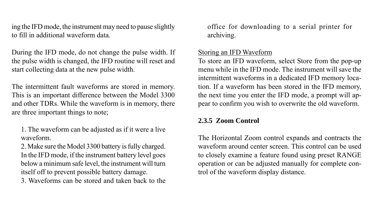ing the IFD mode, the instrument may need to pause slightly to fill in additional waveform data.

During the IFD mode, do not change the pulse width. If the pulse width is changed, the IFD routine will reset and start collecting data at the new pulse width.

The intermittent fault waveforms are stored in memory. This is an important difference between the Model 3300 and other TDRs. While the waveform is in memory, there are three important things to note;

1. The waveform can be adjusted as if it were a live waveform.

2. Make sure the Model 3300 battery is fully charged. In the IFD mode, if the instrument battery level goes below a minimum safe level, the instrument will turn itself off to prevent possible battery damage.

3. Waveforms can be stored and taken back to the

office for downloading to a serial printer for archiving.

## Storing an IFD Waveform

To store an IFD waveform, select Store from the pop-up menu while in the IFD mode. The instrument will save the intermittent waveforms in a dedicated IFD memory location. If a waveform has been stored in the IFD memory, the next time you enter the IFD mode, a prompt will appear to confirm you wish to overwrite the old waveform.

## **2.3.5 Zoom Control**

The Horizontal Zoom control expands and contracts the waveform around center screen. This control can be used to closely examine a feature found using preset RANGE operation or can be adjusted manually for complete control of the waveform display distance.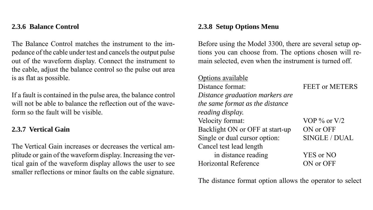## **2.3.6 Balance Control**

The Balance Control matches the instrument to the impedance of the cable under test and cancels the output pulse out of the waveform display. Connect the instrument to the cable, adjust the balance control so the pulse out area is as flat as possible.

If a fault is contained in the pulse area, the balance control will not be able to balance the reflection out of the waveform so the fault will be visible.

#### **2.3.7 Vertical Gain**

The Vertical Gain increases or decreases the vertical amplitude or gain of the waveform display. Increasing the vertical gain of the waveform display allows the user to see smaller reflections or minor faults on the cable signature.

## **2.3.8 Setup Options Menu**

Before using the Model 3300, there are several setup options you can choose from. The options chosen will remain selected, even when the instrument is turned off.

#### Options available

Distance format: FEET or METERS *Distance graduation markers are the same format as the distance reading display.* Velocity format: VOP % or V/2 Backlight ON or OFF at start-up ON or OFF Single or dual cursor option: SINGLE / DUAL Cancel test lead length in distance reading YES or NO Horizontal Reference ON or OFF

The distance format option allows the operator to select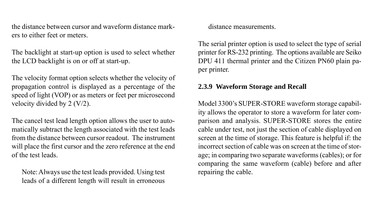the distance between cursor and waveform distance markers to either feet or meters.

The backlight at start-up option is used to select whether the LCD backlight is on or off at start-up.

The velocity format option selects whether the velocity of propagation control is displayed as a percentage of the speed of light (VOP) or as meters or feet per microsecond velocity divided by 2 (V/2).

The cancel test lead length option allows the user to automatically subtract the length associated with the test leads from the distance between cursor readout. The instrument will place the first cursor and the zero reference at the end of the test leads.

Note: Always use the test leads provided. Using test leads of a different length will result in erroneous

distance measurements.

The serial printer option is used to select the type of serial printer for RS-232 printing. The options available are Seiko DPU 411 thermal printer and the Citizen PN60 plain paper printer.

## **2.3.9 Waveform Storage and Recall**

Model 3300's SUPER-STORE waveform storage capability allows the operator to store a waveform for later comparison and analysis. SUPER-STORE stores the entire cable under test, not just the section of cable displayed on screen at the time of storage. This feature is helpful if: the incorrect section of cable was on screen at the time of storage; in comparing two separate waveforms (cables); or for comparing the same waveform (cable) before and after repairing the cable.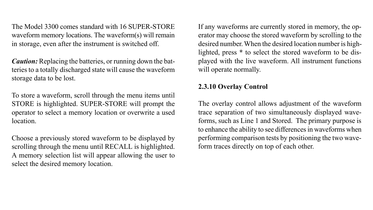The Model 3300 comes standard with 16 SUPER-STORE waveform memory locations. The waveform(s) will remain in storage, even after the instrument is switched off.

*Caution:* Replacing the batteries, or running down the batteries to a totally discharged state will cause the waveform storage data to be lost.

To store a waveform, scroll through the menu items until STORE is highlighted. SUPER-STORE will prompt the operator to select a memory location or overwrite a used location.

Choose a previously stored waveform to be displayed by scrolling through the menu until RECALL is highlighted. A memory selection list will appear allowing the user to select the desired memory location.

If any waveforms are currently stored in memory, the operator may choose the stored waveform by scrolling to the desired number.When the desired location number is highlighted, press **\*** to select the stored waveform to be displayed with the live waveform. All instrument functions will operate normally.

## **2.3.10 Overlay Control**

The overlay control allows adjustment of the waveform trace separation of two simultaneously displayed waveforms, such as Line 1 and Stored. The primary purpose is to enhance the ability to see differences in waveforms when performing comparison tests by positioning the two waveform traces directly on top of each other.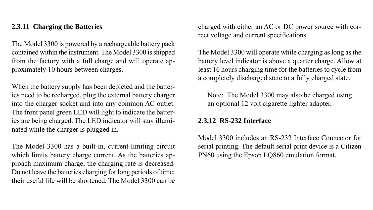## **2.3.11 Charging the Batteries**

The Model 3300 is powered by a rechargeable battery pack contained within the instrument. The Model 3300 is shipped from the factory with a full charge and will operate approximately 10 hours between charges.

When the battery supply has been depleted and the batteries need to be recharged, plug the external battery charger into the charger socket and into any common AC outlet. The front panel green LED will light to indicate the batteries are being charged. The LED indicator will stay illuminated while the charger is plugged in.

The Model 3300 has a built-in, current-limiting circuit which limits battery charge current. As the batteries approach maximum charge, the charging rate is decreased. Do not leave the batteries charging for long periods of time; their useful life will be shortened. The Model 3300 can be

charged with either an AC or DC power source with correct voltage and current specifications.

The Model 3300 will operate while charging as long as the battery level indicator is above a quarter charge. Allow at least 16 hours charging time for the batteries to cycle from a completely discharged state to a fully charged state.

Note: The Model 3300 may also be charged using an optional 12 volt cigarette lighter adapter.

## **2.3.12 RS-232 Interface**

Model 3300 includes an RS-232 Interface Connector for serial printing. The default serial print device is a Citizen PN60 using the Epson LQ860 emulation format.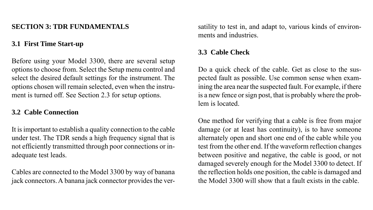## **SECTION 3: TDR FUNDAMENTALS**

## **3.1 First Time Start-up**

Before using your Model 3300, there are several setup options to choose from. Select the Setup menu control and select the desired default settings for the instrument. The options chosen will remain selected, even when the instrument is turned off. See Section 2.3 for setup options.

## **3.2 Cable Connection**

It is important to establish a quality connection to the cable under test. The TDR sends a high frequency signal that is not efficiently transmitted through poor connections or inadequate test leads.

Cables are connected to the Model 3300 by way of banana jack connectors. A banana jack connector provides the versatility to test in, and adapt to, various kinds of environments and industries.

## **3.3 Cable Check**

Do a quick check of the cable. Get as close to the suspected fault as possible. Use common sense when examining the area near the suspected fault. For example, if there is a new fence or sign post, that is probably where the problem is located.

One method for verifying that a cable is free from major damage (or at least has continuity), is to have someone alternately open and short one end of the cable while you test from the other end. If the waveform reflection changes between positive and negative, the cable is good, or not damaged severely enough for the Model 3300 to detect. If the reflection holds one position, the cable is damaged and the Model 3300 will show that a fault exists in the cable.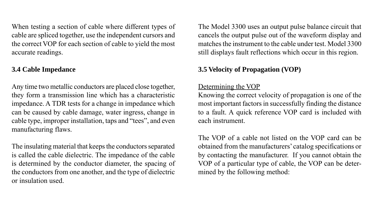When testing a section of cable where different types of cable are spliced together, use the independent cursors and the correct VOP for each section of cable to yield the most accurate readings.

## **3.4 Cable Impedance**

Any time two metallic conductors are placed close together, they form a transmission line which has a characteristic impedance. A TDR tests for a change in impedance which can be caused by cable damage, water ingress, change in cable type, improper installation, taps and "tees", and even manufacturing flaws.

The insulating material that keeps the conductors separated is called the cable dielectric. The impedance of the cable is determined by the conductor diameter, the spacing of the conductors from one another, and the type of dielectric or insulation used.

The Model 3300 uses an output pulse balance circuit that cancels the output pulse out of the waveform display and matches the instrument to the cable under test. Model 3300 still displays fault reflections which occur in this region.

## **3.5 Velocity of Propagation (VOP)**

## Determining the VOP

Knowing the correct velocity of propagation is one of the most important factors in successfully finding the distance to a fault. A quick reference VOP card is included with each instrument.

The VOP of a cable not listed on the VOP card can be obtained from the manufacturers' catalog specifications or by contacting the manufacturer. If you cannot obtain the VOP of a particular type of cable, the VOP can be determined by the following method: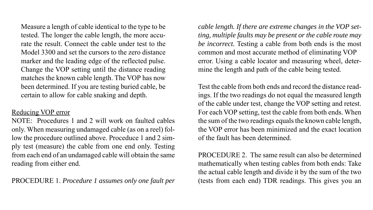Measure a length of cable identical to the type to be tested. The longer the cable length, the more accurate the result. Connect the cable under test to the Model 3300 and set the cursors to the zero distance marker and the leading edge of the reflected pulse. Change the VOP setting until the distance reading matches the known cable length. The VOP has now been determined. If you are testing buried cable, be certain to allow for cable snaking and depth.

#### Reducing VOP error

NOTE: Procedures 1 and 2 will work on faulted cables only. When measuring undamaged cable (as on a reel) follow the procedure outlined above. Proceduce 1 and 2 simply test (measure) the cable from one end only. Testing from each end of an undamaged cable will obtain the same reading from either end.

PROCEDURE 1. *Procedure 1 assumes only one fault per*

*cable length. If there are extreme changes in the VOP setting, multiple faults may be present or the cable route may be incorrect.* Testing a cable from both ends is the most common and most accurate method of eliminating VOP error. Using a cable locator and measuring wheel, determine the length and path of the cable being tested.

Test the cable from both ends and record the distance readings. If the two readings do not equal the measured length of the cable under test, change the VOP setting and retest. For each VOP setting, test the cable from both ends. When the sum of the two readings equals the known cable length, the VOP error has been minimized and the exact location of the fault has been determined.

PROCEDURE 2. The same result can also be determined mathematically when testing cables from both ends: Take the actual cable length and divide it by the sum of the two (tests from each end) TDR readings. This gives you an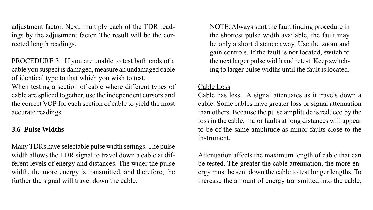adjustment factor. Next, multiply each of the TDR readings by the adjustment factor. The result will be the corrected length readings.

PROCEDURE 3. If you are unable to test both ends of a cable you suspect is damaged, measure an undamaged cable of identical type to that which you wish to test.

When testing a section of cable where different types of cable are spliced together, use the independent cursors and the correct VOP for each section of cable to yield the most accurate readings.

## **3.6 Pulse Widths**

Many TDRs have selectable pulse width settings. The pulse width allows the TDR signal to travel down a cable at different levels of energy and distances. The wider the pulse width, the more energy is transmitted, and therefore, the further the signal will travel down the cable.

NOTE: Always start the fault finding procedure in the shortest pulse width available, the fault may be only a short distance away. Use the zoom and gain controls. If the fault is not located, switch to the next larger pulse width and retest. Keep switching to larger pulse widths until the fault is located.

#### Cable Loss

Cable has loss. A signal attenuates as it travels down a cable. Some cables have greater loss or signal attenuation than others. Because the pulse amplitude is reduced by the loss in the cable, major faults at long distances will appear to be of the same amplitude as minor faults close to the instrument.

Attenuation affects the maximum length of cable that can be tested. The greater the cable attenuation, the more energy must be sent down the cable to test longer lengths. To increase the amount of energy transmitted into the cable,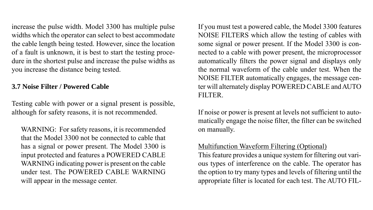increase the pulse width. Model 3300 has multiple pulse widths which the operator can select to best accommodate the cable length being tested. However, since the location of a fault is unknown, it is best to start the testing procedure in the shortest pulse and increase the pulse widths as you increase the distance being tested.

## **3.7 Noise Filter / Powered Cable**

Testing cable with power or a signal present is possible, although for safety reasons, it is not recommended.

WARNING: For safety reasons, it is recommended that the Model 3300 not be connected to cable that has a signal or power present. The Model 3300 is input protected and features a POWERED CABLE WARNING indicating power is present on the cable under test. The POWERED CABLE WARNING will appear in the message center.

If you must test a powered cable, the Model 3300 features NOISE FILTERS which allow the testing of cables with some signal or power present. If the Model 3300 is connected to a cable with power present, the microprocessor automatically filters the power signal and displays only the normal waveform of the cable under test. When the NOISE FILTER automatically engages, the message center will alternately display POWERED CABLE and AUTO FILTER.

If noise or power is present at levels not sufficient to automatically engage the noise filter, the filter can be switched on manually.

## Multifunction Waveform Filtering (Optional)

This feature provides a unique system for filtering out various types of interference on the cable. The operator has the option to try many types and levels of filtering until the appropriate filter is located for each test. The AUTO FIL-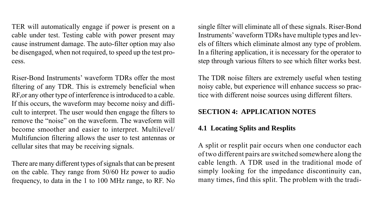TER will automatically engage if power is present on a cable under test. Testing cable with power present may cause instrument damage. The auto-filter option may also be disengaged, when not required, to speed up the test process.

Riser-Bond Instruments' waveform TDRs offer the most filtering of any TDR. This is extremely beneficial when RF,or any other type of interference is introduced to a cable. If this occurs, the waveform may become noisy and difficult to interpret. The user would then engage the filters to remove the "noise" on the waveform. The waveform will become smoother and easier to interpret. Multilevel/ Multifuncion filtering allows the user to test antennas or cellular sites that may be receiving signals.

There are many different types of signals that can be present on the cable. They range from 50/60 Hz power to audio frequency, to data in the 1 to 100 MHz range, to RF. No

single filter will eliminate all of these signals. Riser-Bond Instruments' waveform TDRs have multiple types and levels of filters which eliminate almost any type of problem. In a filtering application, it is necessary for the operator to step through various filters to see which filter works best.

The TDR noise filters are extremely useful when testing noisy cable, but experience will enhance success so practice with different noise sources using different filters.

## **SECTION 4: APPLICATION NOTES**

## **4.1 Locating Splits and Resplits**

A split or resplit pair occurs when one conductor each of two different pairs are switched somewhere along the cable length. A TDR used in the traditional mode of simply looking for the impedance discontinuity can, many times, find this split. The problem with the tradi-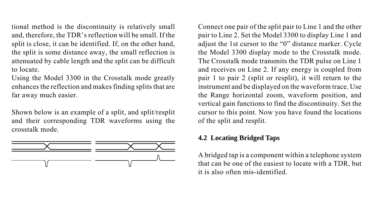tional method is the discontinuity is relatively small and, therefore, the TDR's reflection will be small. If the split is close, it can be identified. If, on the other hand, the split is some distance away, the small reflection is attenuated by cable length and the split can be difficult to locate.

Using the Model 3300 in the Crosstalk mode greatly enhances the reflection and makes finding splits that are far away much easier.

Shown below is an example of a split, and split/resplit and their corresponding TDR waveforms using the crosstalk mode.



Connect one pair of the split pair to Line 1 and the other pair to Line 2. Set the Model 3300 to display Line 1 and adjust the 1st cursor to the "0" distance marker. Cycle the Model 3300 display mode to the Crosstalk mode. The Crosstalk mode transmits the TDR pulse on Line 1 and receives on Line 2. If any energy is coupled from pair 1 to pair 2 (split or resplit), it will return to the instrument and be displayed on the waveform trace. Use the Range horizontal zoom, waveform position, and vertical gain functions to find the discontinuity. Set the cursor to this point. Now you have found the locations of the split and resplit.

## **4.2 Locating Bridged Taps**

A bridged tap is a component within a telephone system that can be one of the easiest to locate with a TDR, but it is also often mis-identified.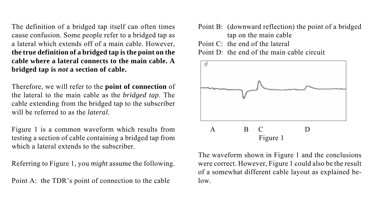The definition of a bridged tap itself can often times cause confusion. Some people refer to a bridged tap as a lateral which extends off of a main cable. However, **the true definition of a bridged tap is the point on the cable where a lateral connects to the main cable. A bridged tap is** *not* **a section of cable.**

Therefore, we will refer to the **point of connection** of the lateral to the main cable as the *bridged tap*. The cable extending from the bridged tap to the subscriber will be referred to as the *lateral*.

Figure 1 is a common waveform which results from testing a section of cable containing a bridged tap from which a lateral extends to the subscriber.

Referring to Figure 1, you *might* assume the following.

Point A: the TDR's point of connection to the cable

Point B: (downward reflection) the point of a bridged tap on the main cable Point  $C^+$  the end of the lateral Point  $D^+$  the end of the main cable circuit



The waveform shown in Figure 1 and the conclusions were correct. However, Figure 1 could also be the result of a somewhat different cable layout as explained below.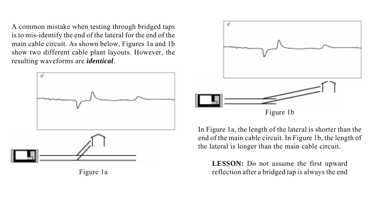A common mistake when testing through bridged taps is to mis-identify the end of the lateral for the end of the main cable circuit. As shown below, Figures 1a and 1b show two different cable plant layouts. However, the resulting waveforms are *identical*.



Figure 1a



In Figure 1a, the length of the lateral is shorter than the end of the main cable circuit. In Figure 1b, the length of the lateral is longer than the main cable circuit.

**LESSON:** Do not assume the first upward reflection after a bridged tap is always the end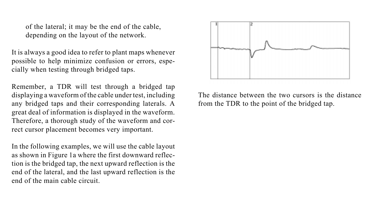of the lateral; it may be the end of the cable, depending on the layout of the network.

It is always a good idea to refer to plant maps whenever possible to help minimize confusion or errors, especially when testing through bridged taps.

Remember, a TDR will test through a bridged tap displaying a waveform of the cable under test, including any bridged taps and their corresponding laterals. A great deal of information is displayed in the waveform. Therefore, a thorough study of the waveform and correct cursor placement becomes very important.

In the following examples, we will use the cable layout as shown in Figure 1a where the first downward reflection is the bridged tap, the next upward reflection is the end of the lateral, and the last upward reflection is the end of the main cable circuit.



The distance between the two cursors is the distance from the TDR to the point of the bridged tap.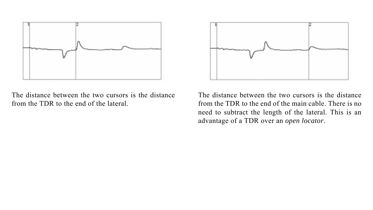

The distance between the two cursors is the distance from the TDR to the end of the lateral.



The distance between the two cursors is the distance from the TDR to the end of the main cable. There is no need to subtract the length of the lateral. This is an advantage of a TDR over an *open locator*.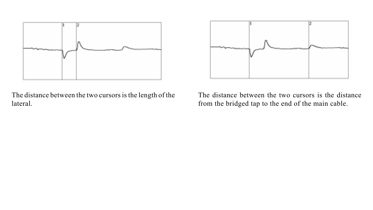

The distance between the two cursors is the length of the lateral.



The distance between the two cursors is the distance from the bridged tap to the end of the main cable.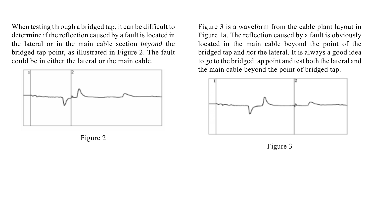When testing through a bridged tap, it can be difficult to determine if the reflection caused by a fault is located in the lateral or in the main cable section *beyond* the bridged tap point, as illustrated in Figure 2. The fault could be in either the lateral or the main cable.



Figure 2

Figure 3 is a waveform from the cable plant layout in Figure 1a. The reflection caused by a fault is obviously located in the main cable beyond the point of the bridged tap and *not* the lateral. It is always a good idea to go to the bridged tap point and test both the lateral and the main cable beyond the point of bridged tap.



Figure 3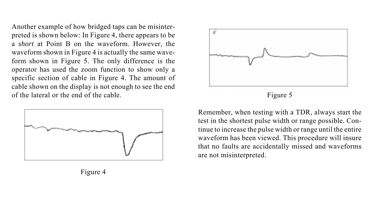Another example of how bridged taps can be misinterpreted is shown below: In Figure 4, there appears to be a *short* at Point B on the waveform. However, the waveform shown in Figure 4 is actually the same waveform shown in Figure 5. The only difference is the operator has used the zoom function to show only a specific section of cable in Figure 4. The amount of cable shown on the display is not enough to see the end of the lateral or the end of the cable.



Figure 4



Figure 5

Remember, when testing with a TDR, always start the test in the shortest pulse width or range possible. Continue to increase the pulse width or range until the entire waveform has been viewed. This procedure will insure that no faults are accidentally missed and waveforms are not misinterpreted.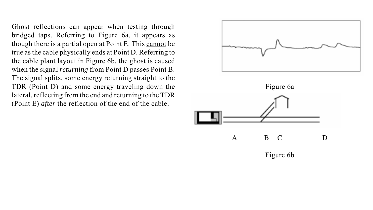Ghost reflections can appear when testing through bridged taps. Referring to Figure 6a, it appears as though there is a partial open at Point E. This cannot be true as the cable physically ends at Point D. Referring to the cable plant layout in Figure 6b, the ghost is caused when the signal *returning* from Point D passes Point B. The signal splits, some energy returning straight to the TDR (Point D) and some energy traveling down the lateral, reflecting from the end and returning to the TDR (Point E) *after* the reflection of the end of the cable.



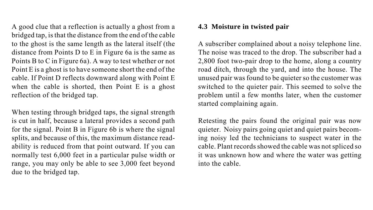A good clue that a reflection is actually a ghost from a bridged tap, is that the distance from the end of the cable to the ghost is the same length as the lateral itself (the distance from Points D to E in Figure 6a is the same as Points B to C in Figure 6a). A way to test whether or not Point E is a ghost is to have someone short the end of the cable. If Point D reflects downward along with Point E when the cable is shorted, then Point E is a ghost reflection of the bridged tap.

When testing through bridged taps, the signal strength is cut in half, because a lateral provides a second path for the signal. Point B in Figure 6b is where the signal splits, and because of this, the maximum distance readability is reduced from that point outward. If you can normally test 6,000 feet in a particular pulse width or range, you may only be able to see 3,000 feet beyond due to the bridged tap.

## **4.3 Moisture in twisted pair**

A subscriber complained about a noisy telephone line. The noise was traced to the drop. The subscriber had a 2,800 foot two-pair drop to the home, along a country road ditch, through the yard, and into the house. The unused pair was found to be quieter so the customer was switched to the quieter pair. This seemed to solve the problem until a few months later, when the customer started complaining again.

Retesting the pairs found the original pair was now quieter. Noisy pairs going quiet and quiet pairs becoming noisy led the technicians to suspect water in the cable. Plant records showed the cable was not spliced so it was unknown how and where the water was getting into the cable.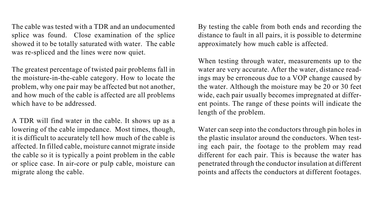The cable was tested with a TDR and an undocumented splice was found. Close examination of the splice showed it to be totally saturated with water. The cable was re-spliced and the lines were now quiet.

The greatest percentage of twisted pair problems fall in the moisture-in-the-cable category. How to locate the problem, why one pair may be affected but not another, and how much of the cable is affected are all problems which have to be addressed.

A TDR will find water in the cable. It shows up as a lowering of the cable impedance. Most times, though, it is difficult to accurately tell how much of the cable is affected. In filled cable, moisture cannot migrate inside the cable so it is typically a point problem in the cable or splice case. In air-core or pulp cable, moisture can migrate along the cable.

By testing the cable from both ends and recording the distance to fault in all pairs, it is possible to determine approximately how much cable is affected.

When testing through water, measurements up to the water are very accurate. After the water, distance readings may be erroneous due to a VOP change caused by the water. Although the moisture may be 20 or 30 feet wide, each pair usually becomes impregnated at different points. The range of these points will indicate the length of the problem.

Water can seep into the conductors through pin holes in the plastic insulator around the conductors. When testing each pair, the footage to the problem may read different for each pair. This is because the water has penetrated through the conductor insulation at different points and affects the conductors at different footages.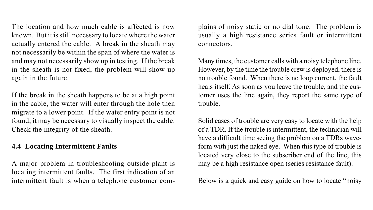The location and how much cable is affected is now known. But it is still necessary to locate where the water actually entered the cable. A break in the sheath may not necessarily be within the span of where the water is and may not necessarily show up in testing. If the break in the sheath is not fixed, the problem will show up again in the future.

If the break in the sheath happens to be at a high point in the cable, the water will enter through the hole then migrate to a lower point. If the water entry point is not found, it may be necessary to visually inspect the cable. Check the integrity of the sheath.

## **4.4 Locating Intermittent Faults**

A major problem in troubleshooting outside plant is locating intermittent faults. The first indication of an intermittent fault is when a telephone customer com-

plains of noisy static or no dial tone. The problem is usually a high resistance series fault or intermittent connectors.

Many times, the customer calls with a noisy telephone line. However, by the time the trouble crew is deployed, there is no trouble found. When there is no loop current, the fault heals itself. As soon as you leave the trouble, and the customer uses the line again, they report the same type of trouble.

Solid cases of trouble are very easy to locate with the help of a TDR. If the trouble is intermittent, the technician will have a difficult time seeing the problem on a TDRs waveform with just the naked eye. When this type of trouble is located very close to the subscriber end of the line, this may be a high resistance open (series resistance fault).

Below is a quick and easy guide on how to locate "noisy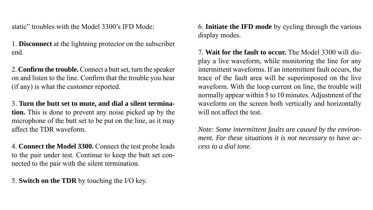static" troubles with the Model 3300's IFD Mode:

1. **Disconnect** at the lightning protector on the subscriber end.

2. **Confirm the trouble.** Connect a butt set, turn the speaker on and listen to the line. Confirm that the trouble you hear (if any) is what the customer reported.

3. **Turn the butt set to mute, and dial a silent termination.** This is done to prevent any noise picked up by the microphone of the butt set to be put on the line, as it may affect the TDR waveform.

4. **Connect the Model 3300.** Connect the test probe leads to the pair under test. Continue to keep the butt set connected to the pair with the silent termination.

5. **Switch on the TDR** by touching the I/O key.

6. **Initiate the IFD mode** by cycling through the various display modes.

7. **Wait for the fault to occur.** The Model 3300 will display a live waveform, while monitoring the line for any intermittent waveforms. If an intermittent fault occurs, the trace of the fault area will be superimposed on the live waveform. With the loop current on line, the trouble will normally appear within 5 to 10 minutes. Adjustment of the waveform on the screen both vertically and horizontally will not affect the test.

*Note: Some intermittent faults are caused by the environment. For these situations it is not necessary to have access to a dial tone.*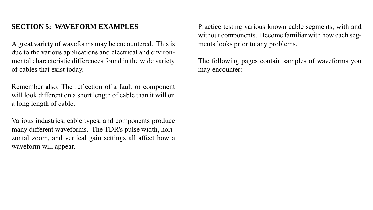## **SECTION 5: WAVEFORM EXAMPLES**

A great variety of waveforms may be encountered. This is due to the various applications and electrical and environmental characteristic differences found in the wide variety of cables that exist today.

Remember also: The reflection of a fault or component will look different on a short length of cable than it will on a long length of cable.

Various industries, cable types, and components produce many different waveforms. The TDR's pulse width, horizontal zoom, and vertical gain settings all affect how a waveform will appear.

Practice testing various known cable segments, with and without components. Become familiar with how each segments looks prior to any problems.

The following pages contain samples of waveforms you may encounter: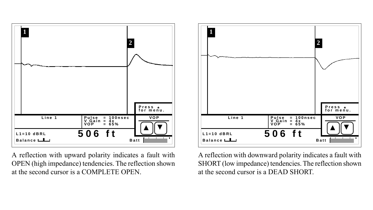

A reflection with upward polarity indicates a fault with OPEN (high impedance) tendencies. The reflection shown at the second cursor is a COMPLETE OPEN.



A reflection with downward polarity indicates a fault with SHORT (low impedance) tendencies. The reflection shown at the second cursor is a DEAD SHORT.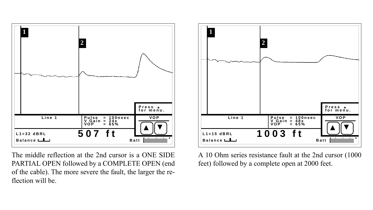

The middle reflection at the 2nd cursor is a ONE SIDE PARTIAL OPEN followed by a COMPLETE OPEN (end of the cable). The more severe the fault, the larger the reflection will be.



A 10 Ohm series resistance fault at the 2nd cursor (1000 feet) followed by a complete open at 2000 feet.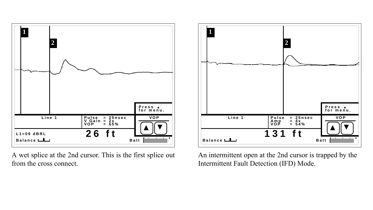

A wet splice at the 2nd cursor. This is the first splice out from the cross connect.



An intermittent open at the 2nd cursor is trapped by the Intermittent Fault Detection (IFD) Mode.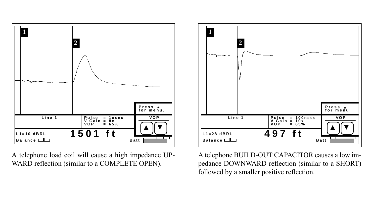

A telephone load coil will cause a high impedance UP-WARD reflection (similar to a COMPLETE OPEN).



A telephone BUILD-OUT CAPACITOR causes a low impedance DOWNWARD reflection (similar to a SHORT) followed by a smaller positive reflection.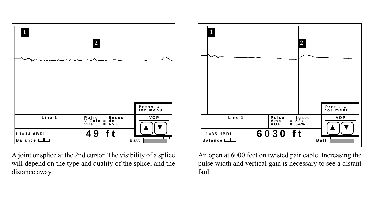

A joint or splice at the 2nd cursor. The visibility of a splice will depend on the type and quality of the splice, and the distance away.



An open at 6000 feet on twisted pair cable. Increasing the pulse width and vertical gain is necessary to see a distant fault.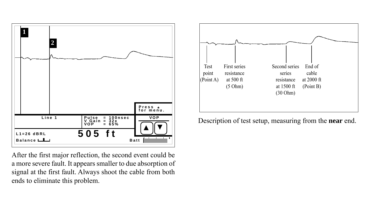

After the first major reflection, the second event could be a more severe fault. It appears smaller to due absorption of signal at the first fault. Always shoot the cable from both ends to eliminate this problem.

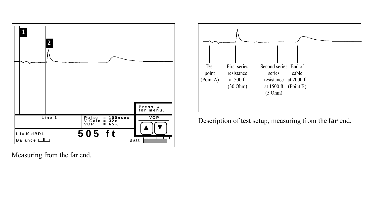

Measuring from the far end.

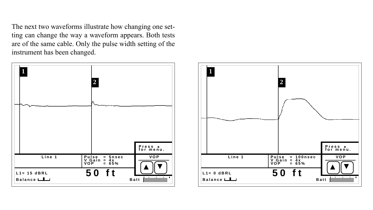The next two waveforms illustrate how changing one setting can change the way a waveform appears. Both tests are of the same cable. Only the pulse width setting of the instrument has been changed.



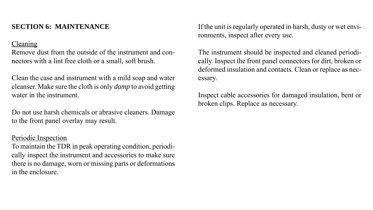## **SECTION 6: MAINTENANCE**

## Cleaning

Remove dust from the outside of the instrument and connectors with a lint free cloth or a small, soft brush.

Clean the case and instrument with a mild soap and water cleanser. Make sure the cloth is only *damp* to avoid getting water in the instrument.

Do not use harsh chemicals or abrasive cleaners. Damage to the front panel overlay may result.

## Periodic Inspection

To maintain the TDR in peak operating condition, periodically inspect the instrument and accessories to make sure there is no damage, worn or missing parts or deformations in the enclosure.

If the unit is regularly operated in harsh, dusty or wet environments, inspect after every use.

The instrument should be inspected and cleaned periodically. Inspect the front panel connectors for dirt, broken or deformed insulation and contacts. Clean or replace as necessary.

Inspect cable accessories for damaged insulation, bent or broken clips. Replace as necessary.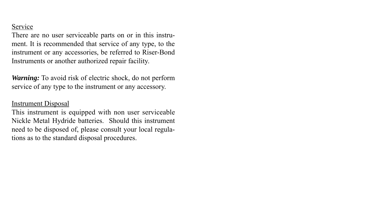## **Service**

There are no user serviceable parts on or in this instrument. It is recommended that service of any type, to the instrument or any accessories, be referred to Riser-Bond Instruments or another authorized repair facility.

*Warning:* To avoid risk of electric shock, do not perform service of any type to the instrument or any accessory.

## Instrument Disposal

This instrument is equipped with non user serviceable Nickle Metal Hydride batteries. Should this instrument need to be disposed of, please consult your local regulations as to the standard disposal procedures.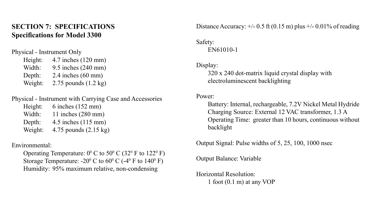## **SECTION 7: SPECIFICATIONS Specifications for Model 3300**

Physical - Instrument Only

| Height: | 4.7 inches (120 mm)            |
|---------|--------------------------------|
| Width:  | 9.5 inches (240 mm)            |
| Depth:  | $2.4$ inches $(60$ mm)         |
| Weight: | 2.75 pounds $(1.2 \text{ kg})$ |

## Physical - Instrument with Carrying Case and Accessories

| Height: | $6$ inches $(152$ mm)         |
|---------|-------------------------------|
| Width:  | 11 inches $(280 \text{ mm})$  |
| Depth:  | 4.5 inches $(115 \text{ mm})$ |
| Weight: | 4.75 pounds (2.15 kg)         |

#### Environmental:

Operating Temperature:  $0^{\circ}$  C to 50<sup>°</sup> C (32<sup>°</sup> F to 122<sup>°</sup> F) Storage Temperature: -20<sup>°</sup> C to  $60^{\circ}$  C (-4<sup>°</sup> F to 140<sup>°</sup> F) Humidity: 95% maximum relative, non-condensing

Distance Accuracy:  $+/- 0.5$  ft (0.15 m) plus  $+/- 0.01\%$  of reading

## Safety: EN61010-1

#### Display:

320 x 240 dot-matrix liquid crystal display with electroluminescent backlighting

#### Power:

Battery: Internal, rechargeable, 7.2V Nickel Metal Hydride Charging Source: External 12 VAC transformer, 1.3 A Operating Time: greater than 10 hours, continuous without backlight

Output Signal: Pulse widths of 5, 25, 100, 1000 nsec

Output Balance: Variable

Horizontal Resolution: 1 foot (0.1 m) at any VOP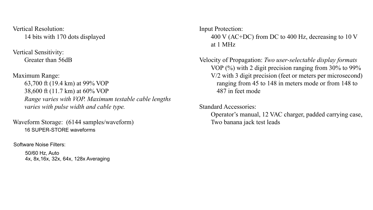Vertical Resolution: 14 bits with 170 dots displayed

Vertical Sensitivity: Greater than 56dB

Maximum Range: 63,700 ft (19.4 km) at 99% VOP 38,600 ft (11.7 km) at 60% VOP *Range varies with VOP. Maximum testable cable lengths varies with pulse width and cable type.*

Waveform Storage: (6144 samples/waveform) 16 SUPER-STORE waveforms

Software Noise Filters:

50/60 Hz, Auto 4x, 8x, 16x, 32x, 64x, 128x Averaging Input Protection:

400 V (AC+DC) from DC to 400 Hz, decreasing to 10 V at 1 MHz

Velocity of Propagation: *Two user-selectable display formats* VOP (%) with 2 digit precision ranging from 30% to 99% V/2 with 3 digit precision (feet or meters per microsecond) ranging from 45 to 148 in meters mode or from 148 to 487 in feet mode

Standard Accessories:

Operator's manual, 12 VAC charger, padded carrying case, Two banana jack test leads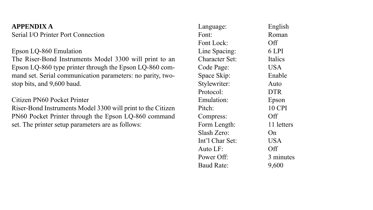## **APPENDIX A**

Serial I/O Printer Port Connection

## Epson LQ-860 Emulation

The Riser-Bond Instruments Model 3300 will print to an Epson LQ-860 type printer through the Epson LQ-860 command set. Serial communication parameters: no parity, twostop bits, and 9,600 baud.

## Citizen PN60 Pocket Printer

Riser-Bond Instruments Model 3300 will print to the Citizen PN60 Pocket Printer through the Epson LQ-860 command set. The printer setup parameters are as follows:

| Language:       | English    |
|-----------------|------------|
| Font:           | Roman      |
| Font Lock:      | Off        |
| Line Spacing:   | 6 LPI      |
| Character Set:  | Italics    |
| Code Page:      | USA        |
| Space Skip:     | Enable     |
| Stylewriter:    | Auto       |
| Protocol:       | <b>DTR</b> |
| Emulation:      | Epson      |
| Pitch:          | 10 CPI     |
| Compress:       | Off        |
| Form Length:    | 11 letters |
| Slash Zero:     | On         |
| Int'l Char Set: | USA        |
| Auto LF:        | Off        |
| Power Off:      | 3 minutes  |
| Baud Rate:      | 9,600      |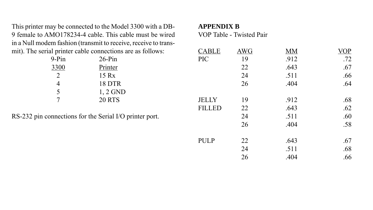This printer may be connected to the Model 3300 with a DB-9 female to AMO178234-4 cable. This cable must be wired in a Null modem fashion (transmit to receive, receive to transmit). The serial printer cable connections are as follows:

| 9-Pin | $26-Pin$      |
|-------|---------------|
| 3300  | Printer       |
| 2     | 15 Rx         |
| 4     | 18 DTR        |
| 5     | $1, 2$ GND    |
|       | <b>20 RTS</b> |

RS-232 pin connections for the Serial I/O printer port.

## **APPENDIX B**

VOP Table - Twisted Pair

| <b>CABLE</b>  | <b>AWG</b> | MМ   | <b>VOP</b> |
|---------------|------------|------|------------|
| PIC           | 19         | .912 | .72        |
|               | 22         | .643 | .67        |
|               | 24         | .511 | .66        |
|               | 26         | .404 | .64        |
| <b>JELLY</b>  | 19         | .912 | .68        |
| <b>FILLED</b> | 22         | .643 | .62        |
|               | 24         | .511 | .60        |
|               | 26         | .404 | .58        |
| <b>PULP</b>   | 22         | .643 | .67        |
|               | 24         | .511 | .68        |
|               | 26         | .404 | .66        |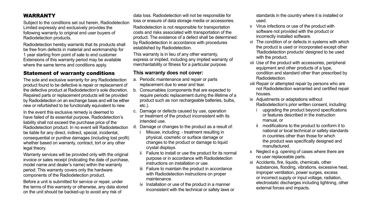#### WARRANTY

Subject to the conditions set out herein, Radiodetection Limited expressly and exclusively provides the following warranty to original end user buyers of Radiodetection products.

Radiodetection hereby warrants that its products shall be free from defects in material and workmanship for 1 year starting from point of sale to end customer. Extensions of this warranty period may be available where the same terms and conditions apply.

#### Statement of warranty conditions

The sole and exclusive warranty for any Radiodetection product found to be defective is repair or replacement of the defective product at Radiodetection's sole discretion. Repaired parts or replacement products will be provided by Radiodetection on an exchange basis and will be either new or refurbished to be functionally equivalent to new.

In the event this exclusive remedy is deemed to have failed of its essential purpose, Radiodetection's liability shall not exceed the purchase price of the Radiodetection product. In no event will Radiodetection be liable for any direct, indirect, special, incidental, consequential or punitive damages (including lost profit) whether based on warranty, contract, tort or any other legal theory.

Warranty services will be provided only with the original invoice or sales receipt (indicating the date of purchase, model name and dealer's name) within the warranty period. This warranty covers only the hardware components of the Radiodetection product.

Before a unit is submitted for service or repair, under the terms of this warranty or otherwise, any data stored on the unit should be backed-up to avoid any risk of

data loss. Radiodetection will not be responsible for loss or erasure of data storage media or accessories.

Radiodetection is not responsible for transportation costs and risks associated with transportation of the product. The existence of a defect shall be determined by Radiodetection in accordance with procedures established by Radiodetection.

This warranty is in lieu of any other warranty, express or implied, including any implied warranty of merchantability or fitness for a particular purpose.

#### **This warranty does not cover:**

- a. Periodic maintenance and repair or parts replacement due to wear and tear.
- b. Consumables (components that are expected to require periodic replacement during the lifetime of a product such as non rechargeable batteries, bulbs, etc.).
- c. Damage or defects caused by use, operation or treatment of the product inconsistent with its intended use.
- d. Damage or changes to the product as a result of:
	- Misuse, including: treatment resulting in physical, cosmetic or surface damage or changes to the product or damage to liquid crystal displays.
	- ii Failure to install or use the product for its normal purpose or in accordance with Radiodetection instructions on installation or use.
	- iii Failure to maintain the product in accordance with Radiodetection instructions on proper maintenance.
	- iv Installation or use of the product in a manner inconsistent with the technical or safety laws or

standards in the country where it is installed or used.

- v Virus infections or use of the product with software not provided with the product or incorrectly installed software.
- vi The condition of or defects in systems with which the product is used or incorporated except other 'Radiodetection products' designed to be used with the product.
- vii Use of the product with accessories, peripheral equipment and other products of a type, condition and standard other than prescribed by Radiodetection.
- viii Repair or attempted repair by persons who are not Radiodetection warranted and certified repair houses.
- ix Adjustments or adaptations without Radiodetection's prior written consent, including:
	- upgrading the product beyond specifications or features described in the instruction manual, or
	- ii modifications to the product to conform it to national or local technical or safety standards in countries other than those for which the product was specifically designed and manufactured.
- x Neglect e.g. opening of cases where there are no user replaceable parts.
- xi Accidents, fire, liquids, chemicals, other substances, flooding, vibrations, excessive heat, improper ventilation, power surges, excess or incorrect supply or input voltage, radiation, electrostatic discharges including lightning, other external forces and impacts.